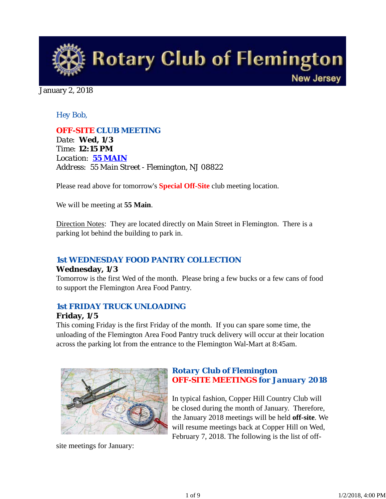

January 2, 2018

### *Hey Bob,*

*OFF-SITE CLUB MEETING Date: Wed, 1/3 Time: 12:15 PM Location: 55 MAIN Address: 55 Main Street - Flemington, NJ 08822*

Please read above for tomorrow's **Special Off-Site** club meeting location.

We will be meeting at **55 Main**.

Direction Notes: They are located directly on Main Street in Flemington. There is a parking lot behind the building to park in.

### *1st WEDNESDAY FOOD PANTRY COLLECTION*

#### **Wednesday, 1/3**

Tomorrow is the first Wed of the month. Please bring a few bucks or a few cans of food to support the Flemington Area Food Pantry.

### *1st FRIDAY TRUCK UNLOADING*

#### **Friday, 1/5**

This coming Friday is the first Friday of the month. If you can spare some time, the unloading of the Flemington Area Food Pantry truck delivery will occur at their location across the parking lot from the entrance to the Flemington Wal-Mart at 8:45am.



site meetings for January:

## *Rotary Club of Flemington OFF-SITE MEETINGS for January 2018*

In typical fashion, Copper Hill Country Club will be closed during the month of January. Therefore, the January 2018 meetings will be held **off-site**. We will resume meetings back at Copper Hill on Wed, February 7, 2018. The following is the list of off-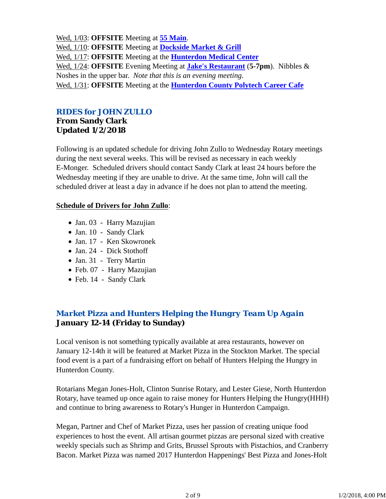Wed, 1/03: **OFFSITE** Meeting at **55 Main**. Wed, 1/10: **OFFSITE** Meeting at **Dockside Market & Grill** Wed, 1/17: **OFFSITE** Meeting at the **Hunterdon Medical Center** Wed, 1/24: **OFFSITE** Evening Meeting at **Jake's Restaurant** (**5-7pm**). Nibbles & Noshes in the upper bar. *Note that this is an evening meeting*. Wed, 1/31: **OFFSITE** Meeting at the **Hunterdon County Polytech Career Cafe**

### *RIDES for JOHN ZULLO*

### **From Sandy Clark Updated 1/2/2018**

Following is an updated schedule for driving John Zullo to Wednesday Rotary meetings during the next several weeks. This will be revised as necessary in each weekly E-Monger. Scheduled drivers should contact Sandy Clark at least 24 hours before the Wednesday meeting if they are unable to drive. At the same time, John will call the scheduled driver at least a day in advance if he does not plan to attend the meeting.

### **Schedule of Drivers for John Zullo**:

- Jan. 03 Harry Mazujian
- Jan. 10 Sandy Clark
- Jan. 17 Ken Skowronek
- Jan. 24 Dick Stothoff
- Jan. 31 Terry Martin
- Feb. 07 Harry Mazujian
- Feb. 14 Sandy Clark

# *Market Pizza and Hunters Helping the Hungry Team Up Again* **January 12-14 (Friday to Sunday)**

Local venison is not something typically available at area restaurants, however on January 12-14th it will be featured at Market Pizza in the Stockton Market. The special food event is a part of a fundraising effort on behalf of Hunters Helping the Hungry in Hunterdon County.

Rotarians Megan Jones-Holt, Clinton Sunrise Rotary, and Lester Giese, North Hunterdon Rotary, have teamed up once again to raise money for Hunters Helping the Hungry(HHH) and continue to bring awareness to Rotary's Hunger in Hunterdon Campaign.

Megan, Partner and Chef of Market Pizza, uses her passion of creating unique food experiences to host the event. All artisan gourmet pizzas are personal sized with creative weekly specials such as Shrimp and Grits, Brussel Sprouts with Pistachios, and Cranberry Bacon. Market Pizza was named 2017 Hunterdon Happenings' Best Pizza and Jones-Holt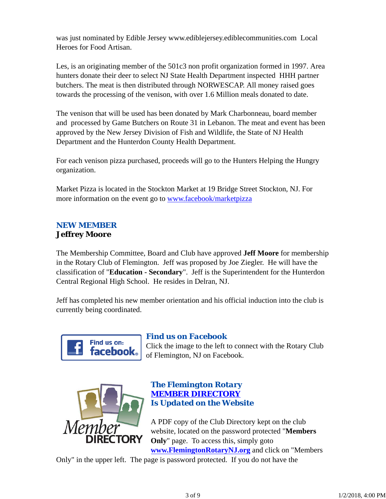was just nominated by Edible Jersey www.ediblejersey.ediblecommunities.com Local Heroes for Food Artisan.

Les, is an originating member of the 501c3 non profit organization formed in 1997. Area hunters donate their deer to select NJ State Health Department inspected HHH partner butchers. The meat is then distributed through NORWESCAP. All money raised goes towards the processing of the venison, with over 1.6 Million meals donated to date.

The venison that will be used has been donated by Mark Charbonneau, board member and processed by Game Butchers on Route 31 in Lebanon. The meat and event has been approved by the New Jersey Division of Fish and Wildlife, the State of NJ Health Department and the Hunterdon County Health Department.

For each venison pizza purchased, proceeds will go to the Hunters Helping the Hungry organization.

Market Pizza is located in the Stockton Market at 19 Bridge Street Stockton, NJ. For more information on the event go to www.facebook/marketpizza

### *NEW MEMBER* **Jeffrey Moore**

The Membership Committee, Board and Club have approved **Jeff Moore** for membership in the Rotary Club of Flemington. Jeff was proposed by Joe Ziegler. He will have the classification of "**Education - Secondary**". Jeff is the Superintendent for the Hunterdon Central Regional High School. He resides in Delran, NJ.

Jeff has completed his new member orientation and his official induction into the club is currently being coordinated.



### *Find us on Facebook*

Click the image to the left to connect with the Rotary Club of Flemington, NJ on Facebook.



### *The Flemington Rotary MEMBER DIRECTORY Is Updated on the Website*

A PDF copy of the Club Directory kept on the club website, located on the password protected "**Members Only**" page. To access this, simply goto **www.FlemingtonRotaryNJ.org** and click on "Members

Only" in the upper left. The page is password protected. If you do not have the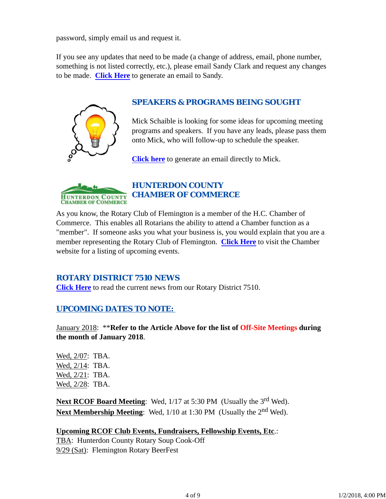password, simply email us and request it.

If you see any updates that need to be made (a change of address, email, phone number, something is not listed correctly, etc.), please email Sandy Clark and request any changes to be made. **Click Here** to generate an email to Sandy.



### *SPEAKERS & PROGRAMS BEING SOUGHT*

Mick Schaible is looking for some ideas for upcoming meeting programs and speakers. If you have any leads, please pass them onto Mick, who will follow-up to schedule the speaker.

**Click here** to generate an email directly to Mick.



# *HUNTERDON COUNTY CHAMBER OF COMMERCE*

As you know, the Rotary Club of Flemington is a member of the H.C. Chamber of Commerce. This enables all Rotarians the ability to attend a Chamber function as a "member". If someone asks you what your business is, you would explain that you are a member representing the Rotary Club of Flemington. **Click Here** to visit the Chamber website for a listing of upcoming events.

### *ROTARY DISTRICT 7510 NEWS*

**Click Here** to read the current news from our Rotary District 7510.

### *UPCOMING DATES TO NOTE:*

January 2018: \*\***Refer to the Article Above for the list of Off-Site Meetings during the month of January 2018**.

Wed, 2/07: TBA. Wed, 2/14: TBA. Wed, 2/21: TBA. Wed, 2/28: TBA.

**Next RCOF Board Meeting:** Wed, 1/17 at 5:30 PM (Usually the 3<sup>rd</sup> Wed). Next Membership Meeting: Wed, 1/10 at 1:30 PM (Usually the 2<sup>nd</sup> Wed).

**Upcoming RCOF Club Events, Fundraisers, Fellowship Events, Etc**.:

TBA: Hunterdon County Rotary Soup Cook-Off 9/29 (Sat): Flemington Rotary BeerFest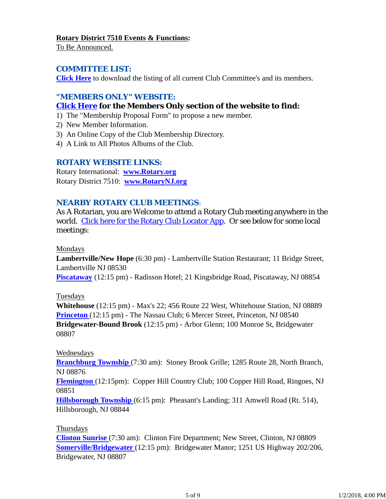#### **Rotary District 7510 Events & Functions:**

To Be Announced.

### *COMMITTEE LIST:*

**Click Here** to download the listing of all current Club Committee's and its members.

### *"MEMBERS ONLY" WEBSITE:*

### **Click Here for the Members Only section of the website to find:**

- 1) The "Membership Proposal Form" to propose a new member.
- 2) New Member Information.
- 3) An Online Copy of the Club Membership Directory.
- 4) A Link to All Photos Albums of the Club.

### *ROTARY WEBSITE LINKS:*

Rotary International: **www.Rotary.org** Rotary District 7510: **www.RotaryNJ.org**

### *NEARBY ROTARY CLUB MEETINGS:*

As A Rotarian, you are Welcome to attend a Rotary Club meeting anywhere in the world. Click here for the Rotary Club Locator App. Or see below for some local meetings:

#### Mondays

**Lambertville/New Hope** (6:30 pm) - Lambertville Station Restaurant; 11 Bridge Street, Lambertville NJ 08530

**Piscataway** (12:15 pm) - Radisson Hotel; 21 Kingsbridge Road, Piscataway, NJ 08854

### Tuesdays

**Whitehouse** (12:15 pm) - Max's 22; 456 Route 22 West, Whitehouse Station, NJ 08889 **Princeton** (12:15 pm) - The Nassau Club; 6 Mercer Street, Princeton, NJ 08540 **Bridgewater-Bound Brook** (12:15 pm) - Arbor Glenn; 100 Monroe St, Bridgewater 08807

### Wednesdays

**Branchburg Township** (7:30 am): Stoney Brook Grille; 1285 Route 28, North Branch, NJ 08876

**Flemington** (12:15pm): Copper Hill Country Club; 100 Copper Hill Road, Ringoes, NJ 08851

**Hillsborough Township** (6:15 pm): Pheasant's Landing; 311 Amwell Road (Rt. 514), Hillsborough, NJ 08844

### Thursdays

**Clinton Sunrise** (7:30 am): Clinton Fire Department; New Street, Clinton, NJ 08809 **Somerville/Bridgewater** (12:15 pm): Bridgewater Manor; 1251 US Highway 202/206, Bridgewater, NJ 08807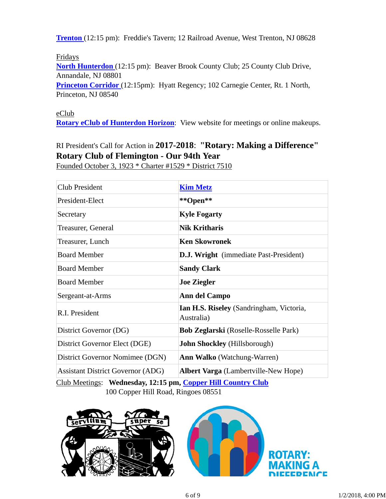**Trenton** (12:15 pm): Freddie's Tavern; 12 Railroad Avenue, West Trenton, NJ 08628

Fridays

**North Hunterdon** (12:15 pm): Beaver Brook County Club; 25 County Club Drive, Annandale, NJ 08801

Princeton Corridor (12:15pm): Hyatt Regency; 102 Carnegie Center, Rt. 1 North, Princeton, NJ 08540

### eClub

**Rotary eClub of Hunterdon Horizon**: View website for meetings or online makeups.

# RI President's Call for Action in **2017-2018**: **"Rotary: Making a Difference" Rotary Club of Flemington - Our 94th Year**

Founded October 3, 1923 \* Charter #1529 \* District 7510

| Club President                                                                                      | <b>Kim Metz</b>                                                                          |  |
|-----------------------------------------------------------------------------------------------------|------------------------------------------------------------------------------------------|--|
| President-Elect                                                                                     | **Open**                                                                                 |  |
| Secretary                                                                                           | <b>Kyle Fogarty</b>                                                                      |  |
| Treasurer, General                                                                                  | <b>Nik Kritharis</b>                                                                     |  |
| Treasurer, Lunch                                                                                    | <b>Ken Skowronek</b>                                                                     |  |
| <b>Board Member</b>                                                                                 | <b>D.J. Wright</b> (immediate Past-President)                                            |  |
| <b>Board Member</b>                                                                                 | <b>Sandy Clark</b>                                                                       |  |
| <b>Board Member</b>                                                                                 | <b>Joe Ziegler</b>                                                                       |  |
| Sergeant-at-Arms                                                                                    | <b>Ann del Campo</b>                                                                     |  |
| R.I. President                                                                                      | Ian H.S. Riseley (Sandringham, Victoria,<br>Australia)                                   |  |
| District Governor (DG)                                                                              | <b>Bob Zeglarski</b> (Roselle-Rosselle Park)                                             |  |
| District Governor Elect (DGE)                                                                       | <b>John Shockley</b> (Hillsborough)                                                      |  |
| District Governor Nomimee (DGN)                                                                     | <b>Ann Walko</b> (Watchung-Warren)                                                       |  |
| <b>Assistant District Governor (ADG)</b><br>$\alpha$ in $\alpha$ in $\alpha$ is the set of $\alpha$ | <b>Albert Varga</b> (Lambertville-New Hope)<br>$\sim$<br>$TT'H \cap \bigcup_{i=1}^n I_i$ |  |

Club Meetings: **Wednesday, 12:15 pm, Copper Hill Country Club** 100 Copper Hill Road, Ringoes 08551



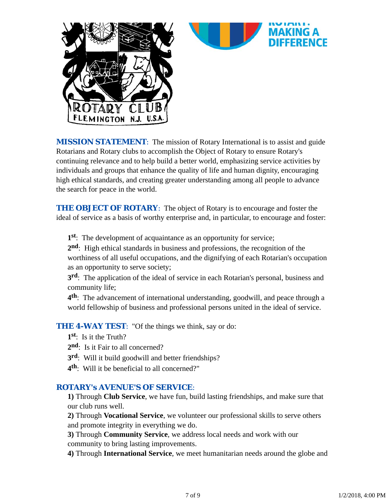

**MISSION STATEMENT:** The mission of Rotary International is to assist and guide Rotarians and Rotary clubs to accomplish the Object of Rotary to ensure Rotary's continuing relevance and to help build a better world, emphasizing service activities by individuals and groups that enhance the quality of life and human dignity, encouraging high ethical standards, and creating greater understanding among all people to advance the search for peace in the world.

*THE OBJECT OF ROTARY*: The object of Rotary is to encourage and foster the ideal of service as a basis of worthy enterprise and, in particular, to encourage and foster:

**1st**: The development of acquaintance as an opportunity for service;

**2nd**: High ethical standards in business and professions, the recognition of the worthiness of all useful occupations, and the dignifying of each Rotarian's occupation as an opportunity to serve society;

**3rd**: The application of the ideal of service in each Rotarian's personal, business and community life;

**4th**: The advancement of international understanding, goodwill, and peace through a world fellowship of business and professional persons united in the ideal of service.

**THE 4-WAY TEST:** "Of the things we think, say or do:

**1st**: Is it the Truth?

- 2<sup>nd</sup>: Is it Fair to all concerned?
- **3rd**: Will it build goodwill and better friendships?
- **4th**: Will it be beneficial to all concerned?"

#### *ROTARY's AVENUE'S OF SERVICE*:

**1)** Through **Club Service**, we have fun, build lasting friendships, and make sure that our club runs well.

**2)** Through **Vocational Service**, we volunteer our professional skills to serve others and promote integrity in everything we do.

**3)** Through **Community Service**, we address local needs and work with our community to bring lasting improvements.

**4)** Through **International Service**, we meet humanitarian needs around the globe and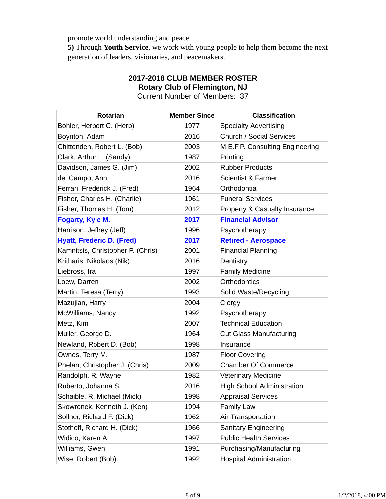promote world understanding and peace.

**5)** Through **Youth Service**, we work with young people to help them become the next generation of leaders, visionaries, and peacemakers.

| <b>Rotarian</b>                   | <b>Member Since</b> | <b>Classification</b>             |
|-----------------------------------|---------------------|-----------------------------------|
| Bohler, Herbert C. (Herb)         | 1977                | <b>Specialty Advertising</b>      |
| Boynton, Adam                     | 2016                | <b>Church / Social Services</b>   |
| Chittenden, Robert L. (Bob)       | 2003                | M.E.F.P. Consulting Engineering   |
| Clark, Arthur L. (Sandy)          | 1987                | Printing                          |
| Davidson, James G. (Jim)          | 2002                | <b>Rubber Products</b>            |
| del Campo, Ann                    | 2016                | <b>Scientist &amp; Farmer</b>     |
| Ferrari, Frederick J. (Fred)      | 1964                | Orthodontia                       |
| Fisher, Charles H. (Charlie)      | 1961                | <b>Funeral Services</b>           |
| Fisher, Thomas H. (Tom)           | 2012                | Property & Casualty Insurance     |
| Fogarty, Kyle M.                  | 2017                | <b>Financial Advisor</b>          |
| Harrison, Jeffrey (Jeff)          | 1996                | Psychotherapy                     |
| <b>Hyatt, Frederic D. (Fred)</b>  | 2017                | <b>Retired - Aerospace</b>        |
| Kamnitsis, Christopher P. (Chris) | 2001                | <b>Financial Planning</b>         |
| Kritharis, Nikolaos (Nik)         | 2016                | Dentistry                         |
| Liebross, Ira                     | 1997                | <b>Family Medicine</b>            |
| Loew, Darren                      | 2002                | Orthodontics                      |
| Martin, Teresa (Terry)            | 1993                | Solid Waste/Recycling             |
| Mazujian, Harry                   | 2004                | Clergy                            |
| McWilliams, Nancy                 | 1992                | Psychotherapy                     |
| Metz, Kim                         | 2007                | <b>Technical Education</b>        |
| Muller, George D.                 | 1964                | <b>Cut Glass Manufacturing</b>    |
| Newland, Robert D. (Bob)          | 1998                | Insurance                         |
| Ownes, Terry M.                   | 1987                | <b>Floor Covering</b>             |
| Phelan, Christopher J. (Chris)    | 2009                | <b>Chamber Of Commerce</b>        |
| Randolph, R. Wayne                | 1982                | <b>Veterinary Medicine</b>        |
| Ruberto, Johanna S.               | 2016                | <b>High School Administration</b> |
| Schaible, R. Michael (Mick)       | 1998                | <b>Appraisal Services</b>         |
| Skowronek, Kenneth J. (Ken)       | 1994                | <b>Family Law</b>                 |
| Sollner, Richard F. (Dick)        | 1962                | Air Transportation                |
| Stothoff, Richard H. (Dick)       | 1966                | <b>Sanitary Engineering</b>       |
| Widico, Karen A.                  | 1997                | <b>Public Health Services</b>     |
| Williams, Gwen                    | 1991                | Purchasing/Manufacturing          |
| Wise, Robert (Bob)                | 1992                | <b>Hospital Administration</b>    |

**2017-2018 CLUB MEMBER ROSTER Rotary Club of Flemington, NJ**

Current Number of Members: 37